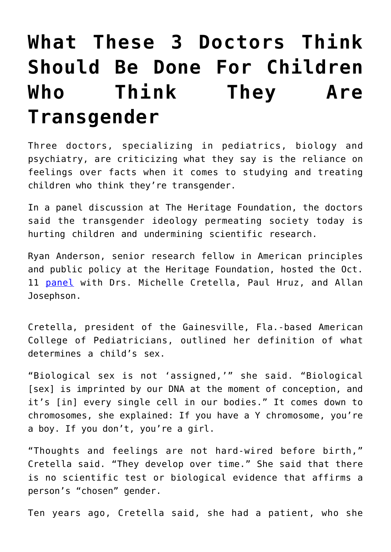## **[What These 3 Doctors Think](https://intellectualtakeout.org/2017/11/what-these-3-doctors-think-should-be-done-for-children-who-think-they-are-transgender/) [Should Be Done For Children](https://intellectualtakeout.org/2017/11/what-these-3-doctors-think-should-be-done-for-children-who-think-they-are-transgender/) [Who Think They Are](https://intellectualtakeout.org/2017/11/what-these-3-doctors-think-should-be-done-for-children-who-think-they-are-transgender/) [Transgender](https://intellectualtakeout.org/2017/11/what-these-3-doctors-think-should-be-done-for-children-who-think-they-are-transgender/)**

Three doctors, specializing in pediatrics, biology and psychiatry, are criticizing what they say is the reliance on feelings over facts when it comes to studying and treating children who think they're transgender.

In a panel discussion at The Heritage Foundation, the doctors said the transgender ideology permeating society today is hurting children and undermining scientific research.

Ryan Anderson, senior research fellow in American principles and public policy at the Heritage Foundation, hosted the Oct. 11 [panel](http://www.heritage.org/gender/event/gender-dysphoria-children-understanding-the-science-and-medicine) with Drs. Michelle Cretella, Paul Hruz, and Allan Josephson.

Cretella, president of the Gainesville, Fla.-based American College of Pediatricians, outlined her definition of what determines a child's sex.

"Biological sex is not 'assigned,'" she said. "Biological [sex] is imprinted by our DNA at the moment of conception, and it's [in] every single cell in our bodies." It comes down to chromosomes, she explained: If you have a Y chromosome, you're a boy. If you don't, you're a girl.

"Thoughts and feelings are not hard-wired before birth," Cretella said. "They develop over time." She said that there is no scientific test or biological evidence that affirms a person's "chosen" gender.

Ten years ago, Cretella said, she had a patient, who she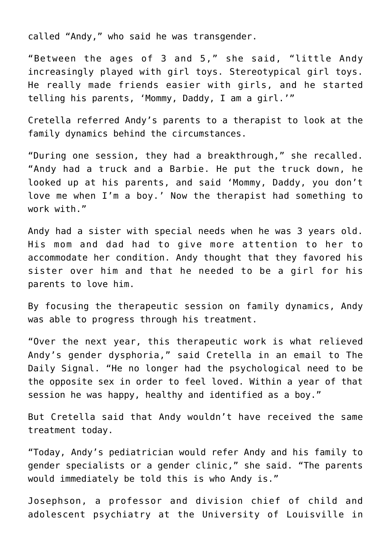called "Andy," who said he was transgender.

"Between the ages of 3 and 5," she said, "little Andy increasingly played with girl toys. Stereotypical girl toys. He really made friends easier with girls, and he started telling his parents, 'Mommy, Daddy, I am a girl.'"

Cretella referred Andy's parents to a therapist to look at the family dynamics behind the circumstances.

"During one session, they had a breakthrough," she recalled. "Andy had a truck and a Barbie. He put the truck down, he looked up at his parents, and said 'Mommy, Daddy, you don't love me when I'm a boy.' Now the therapist had something to work with."

Andy had a sister with special needs when he was 3 years old. His mom and dad had to give more attention to her to accommodate her condition. Andy thought that they favored his sister over him and that he needed to be a girl for his parents to love him.

By focusing the therapeutic session on family dynamics, Andy was able to progress through his treatment.

"Over the next year, this therapeutic work is what relieved Andy's gender dysphoria," said Cretella in an email to The Daily Signal. "He no longer had the psychological need to be the opposite sex in order to feel loved. Within a year of that session he was happy, healthy and identified as a boy."

But Cretella said that Andy wouldn't have received the same treatment today.

"Today, Andy's pediatrician would refer Andy and his family to gender specialists or a gender clinic," she said. "The parents would immediately be told this is who Andy is."

Josephson, a professor and division chief of child and adolescent psychiatry at the University of Louisville in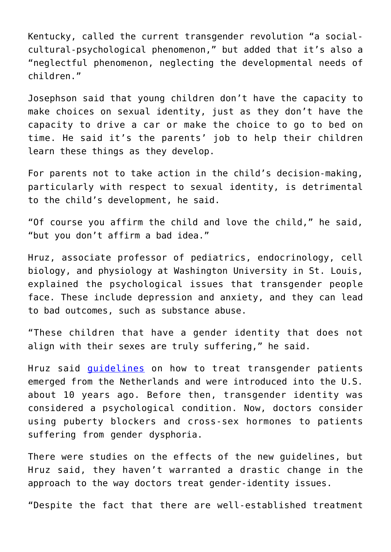Kentucky, called the current transgender revolution "a socialcultural-psychological phenomenon," but added that it's also a "neglectful phenomenon, neglecting the developmental needs of children."

Josephson said that young children don't have the capacity to make choices on sexual identity, just as they don't have the capacity to drive a car or make the choice to go to bed on time. He said it's the parents' job to help their children learn these things as they develop.

For parents not to take action in the child's decision-making, particularly with respect to sexual identity, is detrimental to the child's development, he said.

"Of course you affirm the child and love the child," he said, "but you don't affirm a bad idea."

Hruz, associate professor of pediatrics, endocrinology, cell biology, and physiology at Washington University in St. Louis, explained the psychological issues that transgender people face. These include depression and anxiety, and they can lead to bad outcomes, such as substance abuse.

"These children that have a gender identity that does not align with their sexes are truly suffering," he said.

Hruz said *[guidelines](http://www.eje-online.org/content/155/suppl_1/S131.full.pdf+html)* on how to treat transgender patients emerged from the Netherlands and were introduced into the U.S. about 10 years ago. Before then, transgender identity was considered a psychological condition. Now, doctors consider using puberty blockers and cross-sex hormones to patients suffering from gender dysphoria.

There were studies on the effects of the new guidelines, but Hruz said, they haven't warranted a drastic change in the approach to the way doctors treat gender-identity issues.

"Despite the fact that there are well-established treatment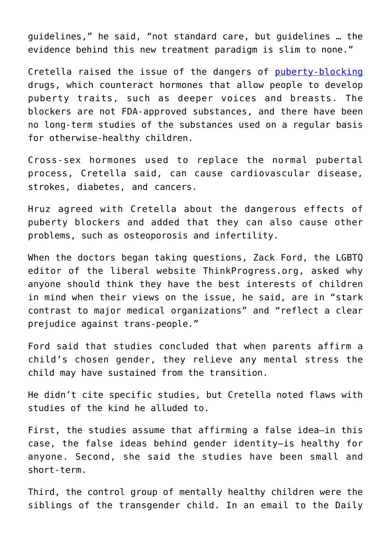guidelines," he said, "not standard care, but guidelines … the evidence behind this new treatment paradigm is slim to none."

Cretella raised the issue of the dangers of [puberty-blocking](http://www.washingtontimes.com/news/2016/mar/12/looking-at-suppressing-puberty-for-transgender-kid/) drugs, which counteract hormones that allow people to develop puberty traits, such as deeper voices and breasts. The blockers are not FDA-approved substances, and there have been no long-term studies of the substances used on a regular basis for otherwise-healthy children.

Cross-sex hormones used to replace the normal pubertal process, Cretella said, can cause cardiovascular disease, strokes, diabetes, and cancers.

Hruz agreed with Cretella about the dangerous effects of puberty blockers and added that they can also cause other problems, such as osteoporosis and infertility.

When the doctors began taking questions, Zack Ford, the LGBTQ editor of the liberal website ThinkProgress.org, asked why anyone should think they have the best interests of children in mind when their views on the issue, he said, are in "stark contrast to major medical organizations" and "reflect a clear prejudice against trans-people."

Ford said that studies concluded that when parents affirm a child's chosen gender, they relieve any mental stress the child may have sustained from the transition.

He didn't cite specific studies, but Cretella noted flaws with studies of the kind he alluded to.

First, the studies assume that affirming a false idea—in this case, the false ideas behind gender identity—is healthy for anyone. Second, she said the studies have been small and short-term.

Third, the control group of mentally healthy children were the siblings of the transgender child. In an email to the Daily